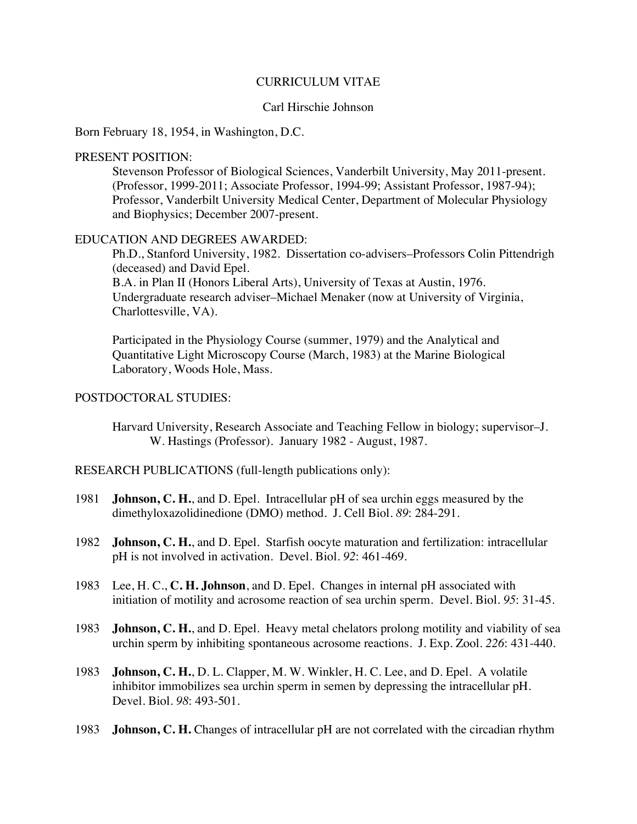### CURRICULUM VITAE

## Carl Hirschie Johnson

Born February 18, 1954, in Washington, D.C.

## PRESENT POSITION:

Stevenson Professor of Biological Sciences, Vanderbilt University, May 2011-present. (Professor, 1999-2011; Associate Professor, 1994-99; Assistant Professor, 1987-94); Professor, Vanderbilt University Medical Center, Department of Molecular Physiology and Biophysics; December 2007-present.

# EDUCATION AND DEGREES AWARDED:

Ph.D., Stanford University, 1982. Dissertation co-advisers–Professors Colin Pittendrigh (deceased) and David Epel.

B.A. in Plan II (Honors Liberal Arts), University of Texas at Austin, 1976. Undergraduate research adviser–Michael Menaker (now at University of Virginia, Charlottesville, VA).

Participated in the Physiology Course (summer, 1979) and the Analytical and Quantitative Light Microscopy Course (March, 1983) at the Marine Biological Laboratory, Woods Hole, Mass.

# POSTDOCTORAL STUDIES:

Harvard University, Research Associate and Teaching Fellow in biology; supervisor–J. W. Hastings (Professor). January 1982 - August, 1987.

RESEARCH PUBLICATIONS (full-length publications only):

- 1981 **Johnson, C. H.**, and D. Epel. Intracellular pH of sea urchin eggs measured by the dimethyloxazolidinedione (DMO) method. J. Cell Biol. *89*: 284-291.
- 1982 **Johnson, C. H.**, and D. Epel. Starfish oocyte maturation and fertilization: intracellular pH is not involved in activation. Devel. Biol. *92*: 461-469.
- 1983 Lee, H. C., **C. H. Johnson**, and D. Epel. Changes in internal pH associated with initiation of motility and acrosome reaction of sea urchin sperm. Devel. Biol. *95*: 31-45.
- 1983 **Johnson, C. H.**, and D. Epel. Heavy metal chelators prolong motility and viability of sea urchin sperm by inhibiting spontaneous acrosome reactions. J. Exp. Zool. *226*: 431-440.
- 1983 **Johnson, C. H.**, D. L. Clapper, M. W. Winkler, H. C. Lee, and D. Epel. A volatile inhibitor immobilizes sea urchin sperm in semen by depressing the intracellular pH. Devel. Biol. *98*: 493-501.
- 1983 **Johnson, C. H.** Changes of intracellular pH are not correlated with the circadian rhythm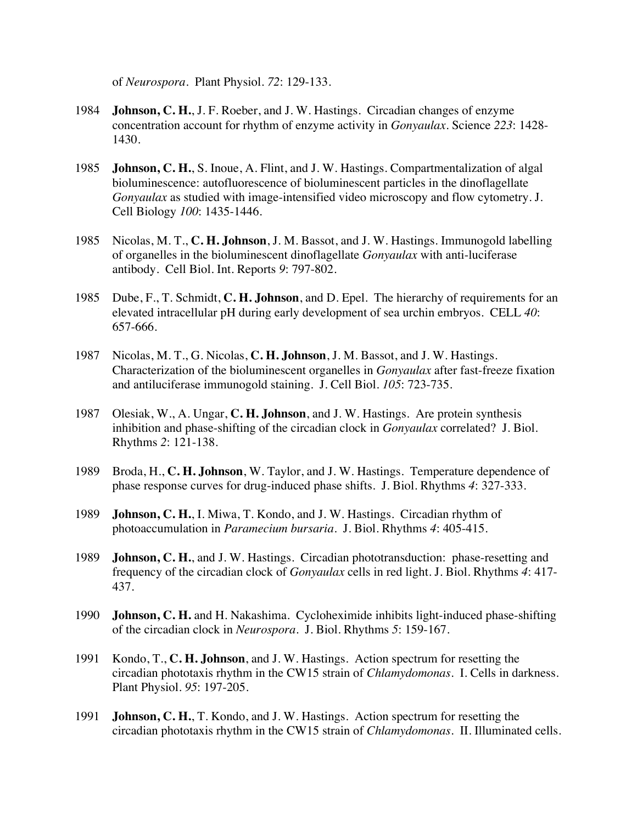of *Neurospora*. Plant Physiol. *72*: 129-133.

- 1984 **Johnson, C. H.**, J. F. Roeber, and J. W. Hastings. Circadian changes of enzyme concentration account for rhythm of enzyme activity in *Gonyaulax*. Science *223*: 1428- 1430.
- 1985 **Johnson, C. H.**, S. Inoue, A. Flint, and J. W. Hastings. Compartmentalization of algal bioluminescence: autofluorescence of bioluminescent particles in the dinoflagellate *Gonyaulax* as studied with image-intensified video microscopy and flow cytometry. J. Cell Biology *100*: 1435-1446.
- 1985 Nicolas, M. T., **C. H. Johnson**, J. M. Bassot, and J. W. Hastings. Immunogold labelling of organelles in the bioluminescent dinoflagellate *Gonyaulax* with anti-luciferase antibody. Cell Biol. Int. Reports *9*: 797-802.
- 1985 Dube, F., T. Schmidt, **C. H. Johnson**, and D. Epel. The hierarchy of requirements for an elevated intracellular pH during early development of sea urchin embryos. CELL *40*: 657-666.
- 1987 Nicolas, M. T., G. Nicolas, **C. H. Johnson**, J. M. Bassot, and J. W. Hastings. Characterization of the bioluminescent organelles in *Gonyaulax* after fast-freeze fixation and antiluciferase immunogold staining. J. Cell Biol. *105*: 723-735.
- 1987 Olesiak, W., A. Ungar, **C. H. Johnson**, and J. W. Hastings. Are protein synthesis inhibition and phase-shifting of the circadian clock in *Gonyaulax* correlated? J. Biol. Rhythms *2*: 121-138.
- 1989 Broda, H., **C. H. Johnson**, W. Taylor, and J. W. Hastings. Temperature dependence of phase response curves for drug-induced phase shifts. J. Biol. Rhythms *4*: 327-333.
- 1989 **Johnson, C. H.**, I. Miwa, T. Kondo, and J. W. Hastings. Circadian rhythm of photoaccumulation in *Paramecium bursaria*. J. Biol. Rhythms *4*: 405-415.
- 1989 **Johnson, C. H.**, and J. W. Hastings. Circadian phototransduction: phase-resetting and frequency of the circadian clock of *Gonyaulax* cells in red light. J. Biol. Rhythms *4*: 417- 437.
- 1990 **Johnson, C. H.** and H. Nakashima. Cycloheximide inhibits light-induced phase-shifting of the circadian clock in *Neurospora*. J. Biol. Rhythms *5*: 159-167.
- 1991 Kondo, T., **C. H. Johnson**, and J. W. Hastings. Action spectrum for resetting the circadian phototaxis rhythm in the CW15 strain of *Chlamydomonas*. I. Cells in darkness. Plant Physiol. *95*: 197-205.
- 1991 **Johnson, C. H.**, T. Kondo, and J. W. Hastings. Action spectrum for resetting the circadian phototaxis rhythm in the CW15 strain of *Chlamydomonas*. II. Illuminated cells.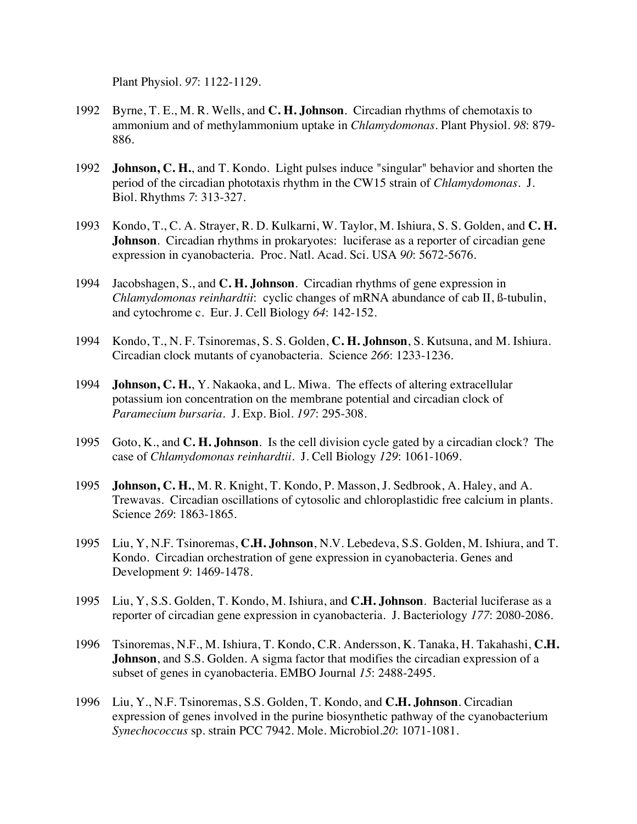Plant Physiol. *97*: 1122-1129.

- 1992 Byrne, T. E., M. R. Wells, and **C. H. Johnson**. Circadian rhythms of chemotaxis to ammonium and of methylammonium uptake in *Chlamydomonas*. Plant Physiol. *98*: 879- 886.
- 1992 **Johnson, C. H.**, and T. Kondo. Light pulses induce "singular" behavior and shorten the period of the circadian phototaxis rhythm in the CW15 strain of *Chlamydomonas*. J. Biol. Rhythms *7*: 313-327.
- 1993 Kondo, T., C. A. Strayer, R. D. Kulkarni, W. Taylor, M. Ishiura, S. S. Golden, and **C. H. Johnson**. Circadian rhythms in prokaryotes: luciferase as a reporter of circadian gene expression in cyanobacteria. Proc. Natl. Acad. Sci. USA *90*: 5672-5676.
- 1994 Jacobshagen, S., and **C. H. Johnson**. Circadian rhythms of gene expression in *Chlamydomonas reinhardtii*: cyclic changes of mRNA abundance of cab II, ß-tubulin, and cytochrome c. Eur. J. Cell Biology *64*: 142-152.
- 1994 Kondo, T., N. F. Tsinoremas, S. S. Golden, **C. H. Johnson**, S. Kutsuna, and M. Ishiura. Circadian clock mutants of cyanobacteria. Science *266*: 1233-1236.
- 1994 **Johnson, C. H.**, Y. Nakaoka, and L. Miwa. The effects of altering extracellular potassium ion concentration on the membrane potential and circadian clock of *Paramecium bursaria*. J. Exp. Biol. *197*: 295-308.
- 1995 Goto, K., and **C. H. Johnson**. Is the cell division cycle gated by a circadian clock? The case of *Chlamydomonas reinhardtii*. J. Cell Biology *129*: 1061-1069.
- 1995 **Johnson, C. H.**, M. R. Knight, T. Kondo, P. Masson, J. Sedbrook, A. Haley, and A. Trewavas. Circadian oscillations of cytosolic and chloroplastidic free calcium in plants. Science *269*: 1863-1865.
- 1995 Liu, Y, N.F. Tsinoremas, **C.H. Johnson**, N.V. Lebedeva, S.S. Golden, M. Ishiura, and T. Kondo. Circadian orchestration of gene expression in cyanobacteria. Genes and Development *9*: 1469-1478.
- 1995 Liu, Y, S.S. Golden, T. Kondo, M. Ishiura, and **C.H. Johnson**. Bacterial luciferase as a reporter of circadian gene expression in cyanobacteria. J. Bacteriology *177*: 2080-2086.
- 1996 Tsinoremas, N.F., M. Ishiura, T. Kondo, C.R. Andersson, K. Tanaka, H. Takahashi, **C.H. Johnson**, and S.S. Golden. A sigma factor that modifies the circadian expression of a subset of genes in cyanobacteria. EMBO Journal *15*: 2488-2495.
- 1996 Liu, Y., N.F. Tsinoremas, S.S. Golden, T. Kondo, and **C.H. Johnson**. Circadian expression of genes involved in the purine biosynthetic pathway of the cyanobacterium *Synechococcus* sp. strain PCC 7942. Mole. Microbiol.*20*: 1071-1081.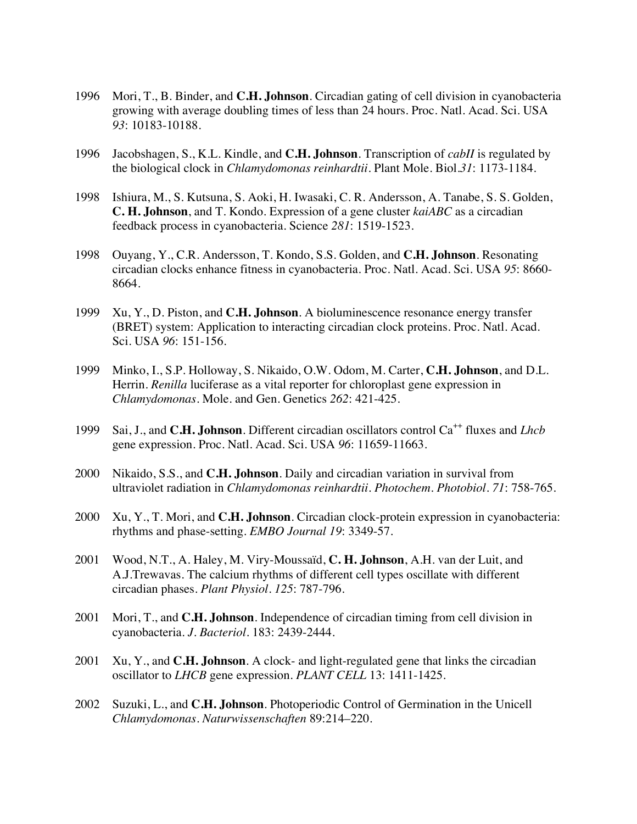- 1996 Mori, T., B. Binder, and **C.H. Johnson**. Circadian gating of cell division in cyanobacteria growing with average doubling times of less than 24 hours. Proc. Natl. Acad. Sci. USA *93*: 10183-10188.
- 1996 Jacobshagen, S., K.L. Kindle, and **C.H. Johnson**. Transcription of *cabII* is regulated by the biological clock in *Chlamydomonas reinhardtii*. Plant Mole. Biol.*31*: 1173-1184.
- 1998 Ishiura, M., S. Kutsuna, S. Aoki, H. Iwasaki, C. R. Andersson, A. Tanabe, S. S. Golden, **C. H. Johnson**, and T. Kondo. Expression of a gene cluster *kaiABC* as a circadian feedback process in cyanobacteria. Science *281*: 1519-1523.
- 1998 Ouyang, Y., C.R. Andersson, T. Kondo, S.S. Golden, and **C.H. Johnson**. Resonating circadian clocks enhance fitness in cyanobacteria. Proc. Natl. Acad. Sci. USA *95*: 8660- 8664.
- 1999 Xu, Y., D. Piston, and **C.H. Johnson**. A bioluminescence resonance energy transfer (BRET) system: Application to interacting circadian clock proteins. Proc. Natl. Acad. Sci. USA *96*: 151-156.
- 1999 Minko, I., S.P. Holloway, S. Nikaido, O.W. Odom, M. Carter, **C.H. Johnson**, and D.L. Herrin. *Renilla* luciferase as a vital reporter for chloroplast gene expression in *Chlamydomonas*. Mole. and Gen. Genetics *262*: 421-425.
- 1999 Sai, J., and **C.H. Johnson**. Different circadian oscillators control Ca<sup>++</sup> fluxes and *Lhcb* gene expression. Proc. Natl. Acad. Sci. USA *96*: 11659-11663.
- 2000 Nikaido, S.S., and **C.H. Johnson**. Daily and circadian variation in survival from ultraviolet radiation in *Chlamydomonas reinhardtii*. *Photochem. Photobiol*. *71*: 758-765.
- 2000 Xu, Y., T. Mori, and **C.H. Johnson**. Circadian clock-protein expression in cyanobacteria: rhythms and phase-setting. *EMBO Journal 19*: 3349-57.
- 2001 Wood, N.T., A. Haley, M. Viry-Moussaïd, **C. H. Johnson**, A.H. van der Luit, and A.J.Trewavas. The calcium rhythms of different cell types oscillate with different circadian phases. *Plant Physiol. 125*: 787-796.
- 2001 Mori, T., and **C.H. Johnson**. Independence of circadian timing from cell division in cyanobacteria. *J. Bacteriol.* 183: 2439-2444.
- 2001 Xu, Y., and **C.H. Johnson**. A clock- and light-regulated gene that links the circadian oscillator to *LHCB* gene expression. *PLANT CELL* 13: 1411-1425.
- 2002 Suzuki, L., and **C.H. Johnson**. Photoperiodic Control of Germination in the Unicell *Chlamydomonas*. *Naturwissenschaften* 89:214–220.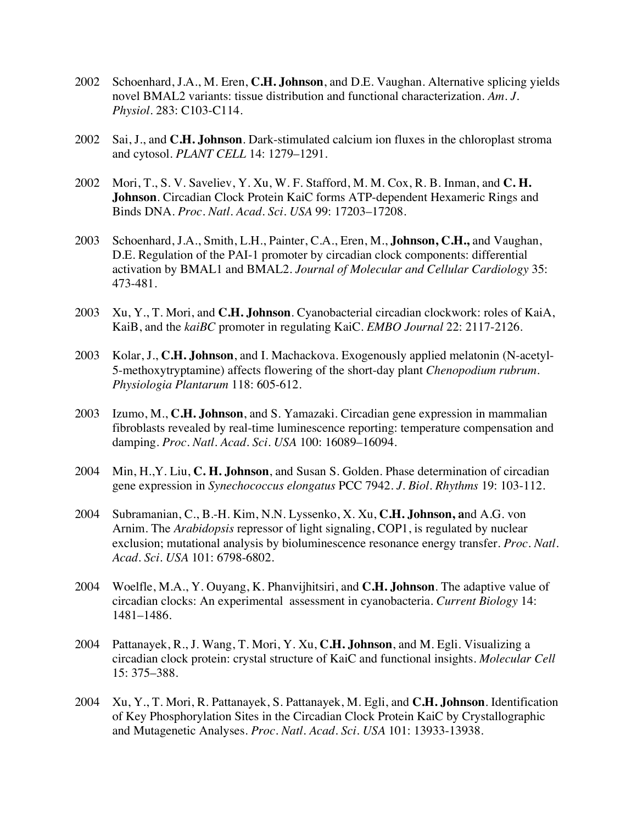- 2002 Schoenhard, J.A., M. Eren, **C.H. Johnson**, and D.E. Vaughan. Alternative splicing yields novel BMAL2 variants: tissue distribution and functional characterization. *Am. J. Physiol.* 283: C103-C114.
- 2002 Sai, J., and **C.H. Johnson**. Dark-stimulated calcium ion fluxes in the chloroplast stroma and cytosol. *PLANT CELL* 14: 1279–1291.
- 2002 Mori, T., S. V. Saveliev, Y. Xu, W. F. Stafford, M. M. Cox, R. B. Inman, and **C. H. Johnson**. Circadian Clock Protein KaiC forms ATP-dependent Hexameric Rings and Binds DNA. *Proc. Natl. Acad. Sci. USA* 99: 17203–17208.
- 2003 Schoenhard, J.A., Smith, L.H., Painter, C.A., Eren, M., **Johnson, C.H.,** and Vaughan, D.E. Regulation of the PAI-1 promoter by circadian clock components: differential activation by BMAL1 and BMAL2. *Journal of Molecular and Cellular Cardiology* 35: 473-481.
- 2003 Xu, Y., T. Mori, and **C.H. Johnson**. Cyanobacterial circadian clockwork: roles of KaiA, KaiB, and the *kaiBC* promoter in regulating KaiC. *EMBO Journal* 22: 2117-2126.
- 2003 Kolar, J., **C.H. Johnson**, and I. Machackova. Exogenously applied melatonin (N-acetyl-5-methoxytryptamine) affects flowering of the short-day plant *Chenopodium rubrum*. *Physiologia Plantarum* 118: 605-612.
- 2003 Izumo, M., **C.H. Johnson**, and S. Yamazaki. Circadian gene expression in mammalian fibroblasts revealed by real-time luminescence reporting: temperature compensation and damping. *Proc. Natl. Acad. Sci. USA* 100: 16089–16094.
- 2004 Min, H.,Y. Liu, **C. H. Johnson**, and Susan S. Golden. Phase determination of circadian gene expression in *Synechococcus elongatus* PCC 7942. *J. Biol. Rhythms* 19: 103-112.
- 2004 Subramanian, C., B.-H. Kim, N.N. Lyssenko, X. Xu, **C.H. Johnson, a**nd A.G. von Arnim. The *Arabidopsis* repressor of light signaling, COP1, is regulated by nuclear exclusion; mutational analysis by bioluminescence resonance energy transfer. *Proc. Natl. Acad. Sci. USA* 101: 6798-6802.
- 2004 Woelfle, M.A., Y. Ouyang, K. Phanvijhitsiri, and **C.H. Johnson**. The adaptive value of circadian clocks: An experimental assessment in cyanobacteria. *Current Biology* 14: 1481–1486.
- 2004 Pattanayek, R., J. Wang, T. Mori, Y. Xu, **C.H. Johnson**, and M. Egli. Visualizing a circadian clock protein: crystal structure of KaiC and functional insights. *Molecular Cell* 15: 375–388.
- 2004 Xu, Y., T. Mori, R. Pattanayek, S. Pattanayek, M. Egli, and **C.H. Johnson**. Identification of Key Phosphorylation Sites in the Circadian Clock Protein KaiC by Crystallographic and Mutagenetic Analyses. *Proc. Natl. Acad. Sci. USA* 101: 13933-13938.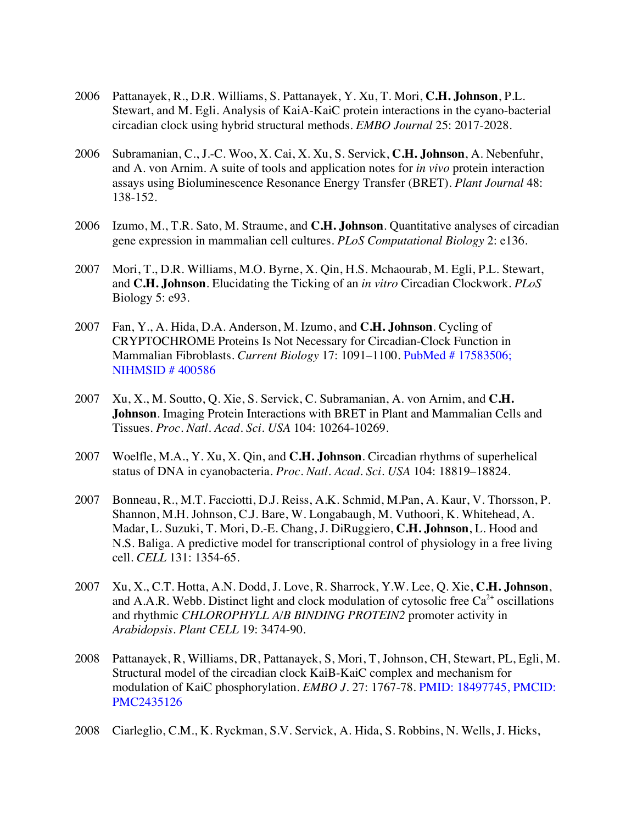- 2006 Pattanayek, R., D.R. Williams, S. Pattanayek, Y. Xu, T. Mori, **C.H. Johnson**, P.L. Stewart, and M. Egli. Analysis of KaiA-KaiC protein interactions in the cyano-bacterial circadian clock using hybrid structural methods. *EMBO Journal* 25: 2017-2028.
- 2006 Subramanian, C., J.-C. Woo, X. Cai, X. Xu, S. Servick, **C.H. Johnson**, A. Nebenfuhr, and A. von Arnim. A suite of tools and application notes for *in vivo* protein interaction assays using Bioluminescence Resonance Energy Transfer (BRET). *Plant Journal* 48: 138-152.
- 2006 Izumo, M., T.R. Sato, M. Straume, and **C.H. Johnson**. Quantitative analyses of circadian gene expression in mammalian cell cultures. *PLoS Computational Biology* 2: e136.
- 2007 Mori, T., D.R. Williams, M.O. Byrne, X. Qin, H.S. Mchaourab, M. Egli, P.L. Stewart, and **C.H. Johnson**. Elucidating the Ticking of an *in vitro* Circadian Clockwork. *PLoS*  Biology 5: e93.
- 2007 Fan, Y., A. Hida, D.A. Anderson, M. Izumo, and **C.H. Johnson**. Cycling of CRYPTOCHROME Proteins Is Not Necessary for Circadian-Clock Function in Mammalian Fibroblasts. *Current Biology* 17: 1091–1100. PubMed # 17583506; NIHMSID # 400586
- 2007 Xu, X., M. Soutto, Q. Xie, S. Servick, C. Subramanian, A. von Arnim, and **C.H. Johnson**. Imaging Protein Interactions with BRET in Plant and Mammalian Cells and Tissues. *Proc. Natl. Acad. Sci. USA* 104: 10264-10269.
- 2007 Woelfle, M.A., Y. Xu, X. Qin, and **C.H. Johnson**. Circadian rhythms of superhelical status of DNA in cyanobacteria. *Proc. Natl. Acad. Sci. USA* 104: 18819–18824.
- 2007 Bonneau, R., M.T. Facciotti, D.J. Reiss, A.K. Schmid, M.Pan, A. Kaur, V. Thorsson, P. Shannon, M.H. Johnson, C.J. Bare, W. Longabaugh, M. Vuthoori, K. Whitehead, A. Madar, L. Suzuki, T. Mori, D.-E. Chang, J. DiRuggiero, **C.H. Johnson**, L. Hood and N.S. Baliga. A predictive model for transcriptional control of physiology in a free living cell. *CELL* 131: 1354-65.
- 2007 Xu, X., C.T. Hotta, A.N. Dodd, J. Love, R. Sharrock, Y.W. Lee, Q. Xie, **C.H. Johnson**, and A.A.R. Webb. Distinct light and clock modulation of cytosolic free  $Ca^{2+}$  oscillations and rhythmic *CHLOROPHYLL A/B BINDING PROTEIN2* promoter activity in *Arabidopsis*. *Plant CELL* 19: 3474-90.
- 2008 Pattanayek, R, Williams, DR, Pattanayek, S, Mori, T, Johnson, CH, Stewart, PL, Egli, M. Structural model of the circadian clock KaiB-KaiC complex and mechanism for modulation of KaiC phosphorylation. *EMBO J.* 27: 1767-78. PMID: 18497745, PMCID: PMC2435126
- 2008 Ciarleglio, C.M., K. Ryckman, S.V. Servick, A. Hida, S. Robbins, N. Wells, J. Hicks,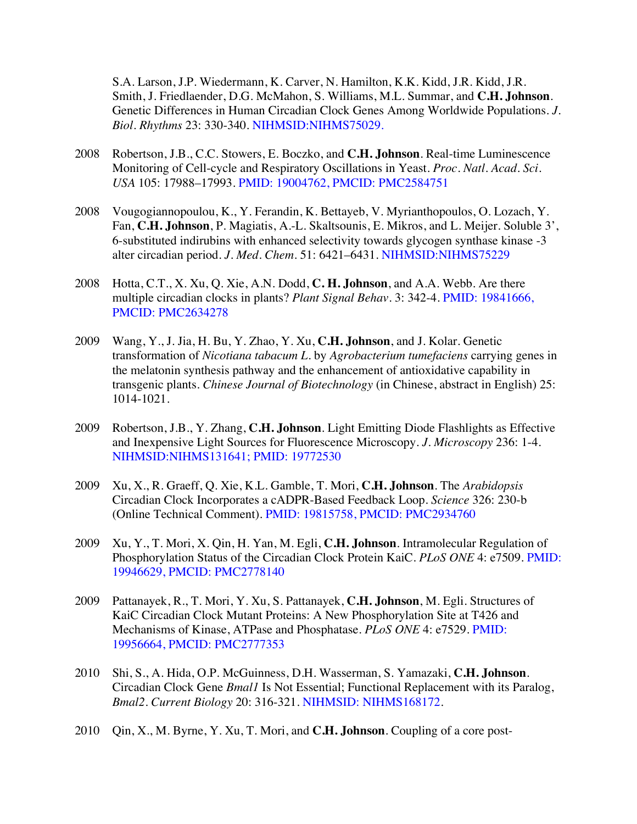S.A. Larson, J.P. Wiedermann, K. Carver, N. Hamilton, K.K. Kidd, J.R. Kidd, J.R. Smith, J. Friedlaender, D.G. McMahon, S. Williams, M.L. Summar, and **C.H. Johnson**. Genetic Differences in Human Circadian Clock Genes Among Worldwide Populations. *J. Biol. Rhythms* 23: 330-340. NIHMSID:NIHMS75029.

- 2008 Robertson, J.B., C.C. Stowers, E. Boczko, and **C.H. Johnson**. Real-time Luminescence Monitoring of Cell-cycle and Respiratory Oscillations in Yeast. *Proc. Natl. Acad. Sci. USA* 105: 17988–17993. PMID: 19004762, PMCID: PMC2584751
- 2008 Vougogiannopoulou, K., Y. Ferandin, K. Bettayeb, V. Myrianthopoulos, O. Lozach, Y. Fan, **C.H. Johnson**, P. Magiatis, A.-L. Skaltsounis, E. Mikros, and L. Meijer. Soluble 3', 6-substituted indirubins with enhanced selectivity towards glycogen synthase kinase -3 alter circadian period. *J. Med. Chem.* 51: 6421–6431. NIHMSID:NIHMS75229
- 2008 Hotta, C.T., X. Xu, Q. Xie, A.N. Dodd, **C. H. Johnson**, and A.A. Webb. Are there multiple circadian clocks in plants? *Plant Signal Behav*. 3: 342-4. PMID: 19841666, PMCID: PMC2634278
- 2009 Wang, Y., J. Jia, H. Bu, Y. Zhao, Y. Xu, **C.H. Johnson**, and J. Kolar. Genetic transformation of *Nicotiana tabacum L*. by *Agrobacterium tumefaciens* carrying genes in the melatonin synthesis pathway and the enhancement of antioxidative capability in transgenic plants. *Chinese Journal of Biotechnology* (in Chinese, abstract in English) 25: 1014-1021.
- 2009 Robertson, J.B., Y. Zhang, **C.H. Johnson**. Light Emitting Diode Flashlights as Effective and Inexpensive Light Sources for Fluorescence Microscopy. *J. Microscopy* 236: 1-4. NIHMSID:NIHMS131641; PMID: 19772530
- 2009 Xu, X., R. Graeff, Q. Xie, K.L. Gamble, T. Mori, **C.H. Johnson**. The *Arabidopsis* Circadian Clock Incorporates a cADPR-Based Feedback Loop. *Science* 326: 230-b (Online Technical Comment). PMID: 19815758, PMCID: PMC2934760
- 2009 Xu, Y., T. Mori, X. Qin, H. Yan, M. Egli, **C.H. Johnson**. Intramolecular Regulation of Phosphorylation Status of the Circadian Clock Protein KaiC. *PLoS ONE* 4: e7509. PMID: 19946629, PMCID: PMC2778140
- 2009 Pattanayek, R., T. Mori, Y. Xu, S. Pattanayek, **C.H. Johnson**, M. Egli. Structures of KaiC Circadian Clock Mutant Proteins: A New Phosphorylation Site at T426 and Mechanisms of Kinase, ATPase and Phosphatase. *PLoS ONE* 4: e7529. PMID: 19956664, PMCID: PMC2777353
- 2010 Shi, S., A. Hida, O.P. McGuinness, D.H. Wasserman, S. Yamazaki, **C.H. Johnson**. Circadian Clock Gene *Bmal1* Is Not Essential; Functional Replacement with its Paralog, *Bmal2*. *Current Biology* 20: 316-321. NIHMSID: NIHMS168172.
- 2010 Qin, X., M. Byrne, Y. Xu, T. Mori, and **C.H. Johnson**. Coupling of a core post-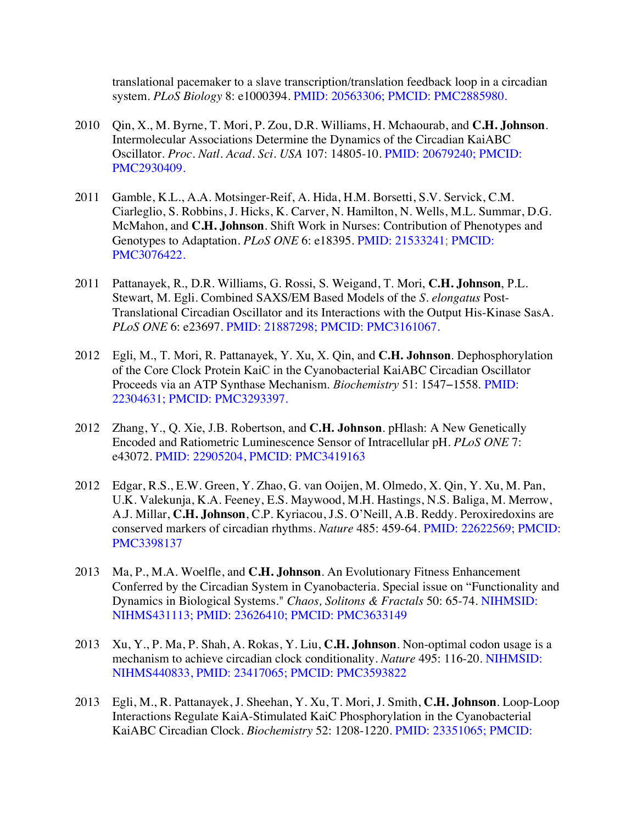translational pacemaker to a slave transcription/translation feedback loop in a circadian system. *PLoS Biology* 8: e1000394. PMID: 20563306; PMCID: PMC2885980.

- 2010 Qin, X., M. Byrne, T. Mori, P. Zou, D.R. Williams, H. Mchaourab, and **C.H. Johnson**. Intermolecular Associations Determine the Dynamics of the Circadian KaiABC Oscillator. *Proc. Natl. Acad. Sci. USA* 107: 14805-10. PMID: 20679240; PMCID: PMC2930409.
- 2011 Gamble, K.L., A.A. Motsinger-Reif, A. Hida, H.M. Borsetti, S.V. Servick, C.M. Ciarleglio, S. Robbins, J. Hicks, K. Carver, N. Hamilton, N. Wells, M.L. Summar, D.G. McMahon, and **C.H. Johnson**. Shift Work in Nurses: Contribution of Phenotypes and Genotypes to Adaptation. *PLoS ONE* 6: e18395. PMID: 21533241; PMCID: PMC3076422.
- 2011 Pattanayek, R., D.R. Williams, G. Rossi, S. Weigand, T. Mori, **C.H. Johnson**, P.L. Stewart, M. Egli. Combined SAXS/EM Based Models of the *S. elongatus* Post-Translational Circadian Oscillator and its Interactions with the Output His-Kinase SasA. *PLoS ONE* 6: e23697. PMID: 21887298; PMCID: PMC3161067.
- 2012 Egli, M., T. Mori, R. Pattanayek, Y. Xu, X. Qin, and **C.H. Johnson**. Dephosphorylation of the Core Clock Protein KaiC in the Cyanobacterial KaiABC Circadian Oscillator Proceeds via an ATP Synthase Mechanism. *Biochemistry* 51: 1547−1558. PMID: 22304631; PMCID: PMC3293397.
- 2012 Zhang, Y., Q. Xie, J.B. Robertson, and **C.H. Johnson**. pHlash: A New Genetically Encoded and Ratiometric Luminescence Sensor of Intracellular pH. *PLoS ONE* 7: e43072. PMID: 22905204, PMCID: PMC3419163
- 2012 Edgar, R.S., E.W. Green, Y. Zhao, G. van Ooijen, M. Olmedo, X. Qin, Y. Xu, M. Pan, U.K. Valekunja, K.A. Feeney, E.S. Maywood, M.H. Hastings, N.S. Baliga, M. Merrow, A.J. Millar, **C.H. Johnson**, C.P. Kyriacou, J.S. O'Neill, A.B. Reddy. Peroxiredoxins are conserved markers of circadian rhythms. *Nature* 485: 459-64. PMID: 22622569; PMCID: PMC3398137
- 2013 Ma, P., M.A. Woelfle, and **C.H. Johnson**. An Evolutionary Fitness Enhancement Conferred by the Circadian System in Cyanobacteria. Special issue on "Functionality and Dynamics in Biological Systems." *Chaos, Solitons & Fractals* 50: 65-74. NIHMSID: NIHMS431113; PMID: 23626410; PMCID: PMC3633149
- 2013 Xu, Y., P. Ma, P. Shah, A. Rokas, Y. Liu, **C.H. Johnson**. Non-optimal codon usage is a mechanism to achieve circadian clock conditionality. *Nature* 495: 116-20. NIHMSID: NIHMS440833, PMID: 23417065; PMCID: PMC3593822
- 2013 Egli, M., R. Pattanayek, J. Sheehan, Y. Xu, T. Mori, J. Smith, **C.H. Johnson**. Loop-Loop Interactions Regulate KaiA-Stimulated KaiC Phosphorylation in the Cyanobacterial KaiABC Circadian Clock. *Biochemistry* 52: 1208-1220. PMID: 23351065; PMCID: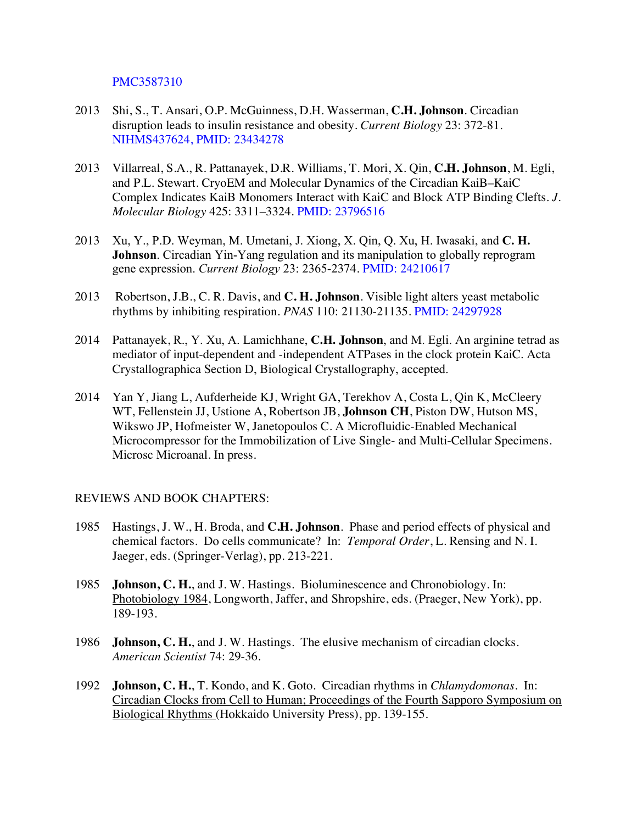PMC3587310

- 2013 Shi, S., T. Ansari, O.P. McGuinness, D.H. Wasserman, **C.H. Johnson**. Circadian disruption leads to insulin resistance and obesity. *Current Biology* 23: 372-81. NIHMS437624, PMID: 23434278
- 2013 Villarreal, S.A., R. Pattanayek, D.R. Williams, T. Mori, X. Qin, **C.H. Johnson**, M. Egli, and P.L. Stewart. CryoEM and Molecular Dynamics of the Circadian KaiB–KaiC Complex Indicates KaiB Monomers Interact with KaiC and Block ATP Binding Clefts. *J. Molecular Biology* 425: 3311–3324. PMID: 23796516
- 2013 Xu, Y., P.D. Weyman, M. Umetani, J. Xiong, X. Qin, Q. Xu, H. Iwasaki, and **C. H. Johnson**. Circadian Yin-Yang regulation and its manipulation to globally reprogram gene expression. *Current Biology* 23: 2365-2374. PMID: 24210617
- 2013 Robertson, J.B., C. R. Davis, and **C. H. Johnson**. Visible light alters yeast metabolic rhythms by inhibiting respiration. *PNAS* 110: 21130-21135. PMID: 24297928
- 2014 Pattanayek, R., Y. Xu, A. Lamichhane, **C.H. Johnson**, and M. Egli. An arginine tetrad as mediator of input-dependent and -independent ATPases in the clock protein KaiC. Acta Crystallographica Section D, Biological Crystallography, accepted.
- 2014 Yan Y, Jiang L, Aufderheide KJ, Wright GA, Terekhov A, Costa L, Qin K, McCleery WT, Fellenstein JJ, Ustione A, Robertson JB, **Johnson CH**, Piston DW, Hutson MS, Wikswo JP, Hofmeister W, Janetopoulos C. A Microfluidic-Enabled Mechanical Microcompressor for the Immobilization of Live Single- and Multi-Cellular Specimens. Microsc Microanal. In press.

# REVIEWS AND BOOK CHAPTERS:

- 1985 Hastings, J. W., H. Broda, and **C.H. Johnson**. Phase and period effects of physical and chemical factors. Do cells communicate? In: *Temporal Order*, L. Rensing and N. I. Jaeger, eds. (Springer-Verlag), pp. 213-221.
- 1985 **Johnson, C. H.**, and J. W. Hastings. Bioluminescence and Chronobiology. In: Photobiology 1984, Longworth, Jaffer, and Shropshire, eds. (Praeger, New York), pp. 189-193.
- 1986 **Johnson, C. H.**, and J. W. Hastings. The elusive mechanism of circadian clocks. *American Scientist* 74: 29-36.
- 1992 **Johnson, C. H.**, T. Kondo, and K. Goto. Circadian rhythms in *Chlamydomonas*. In: Circadian Clocks from Cell to Human; Proceedings of the Fourth Sapporo Symposium on Biological Rhythms (Hokkaido University Press), pp. 139-155.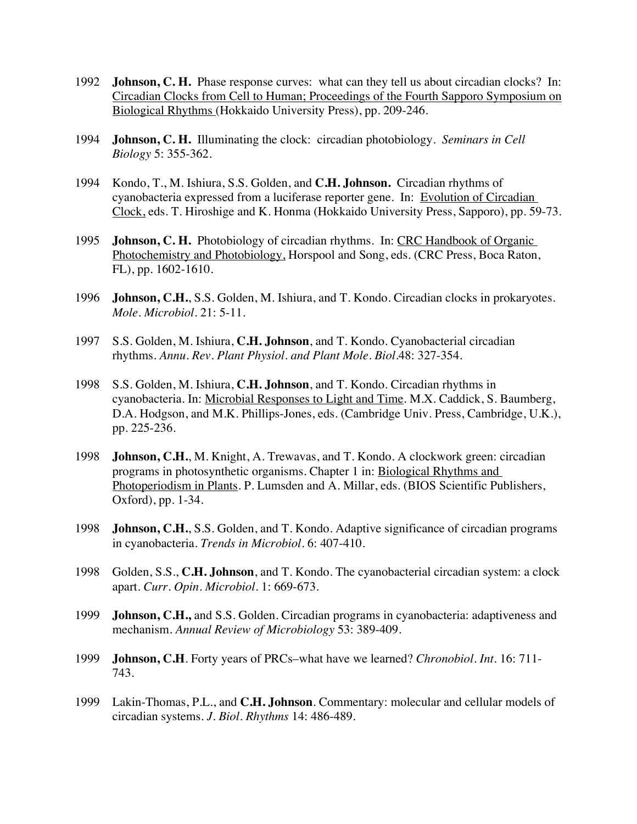- 1992 **Johnson, C. H.** Phase response curves: what can they tell us about circadian clocks? In: Circadian Clocks from Cell to Human; Proceedings of the Fourth Sapporo Symposium on Biological Rhythms (Hokkaido University Press), pp. 209-246.
- 1994 **Johnson, C. H.** Illuminating the clock: circadian photobiology*. Seminars in Cell Biology* 5: 355-362.
- 1994 Kondo, T., M. Ishiura, S.S. Golden, and **C.H. Johnson.** Circadian rhythms of cyanobacteria expressed from a luciferase reporter gene. In: Evolution of Circadian Clock, eds. T. Hiroshige and K. Honma (Hokkaido University Press, Sapporo), pp. 59-73.
- 1995 **Johnson, C. H.** Photobiology of circadian rhythms. In: CRC Handbook of Organic Photochemistry and Photobiology, Horspool and Song, eds. (CRC Press, Boca Raton, FL), pp. 1602-1610.
- 1996 **Johnson, C.H.**, S.S. Golden, M. Ishiura, and T. Kondo. Circadian clocks in prokaryotes. *Mole. Microbiol.* 21: 5-11.
- 1997 S.S. Golden, M. Ishiura, **C.H. Johnson**, and T. Kondo. Cyanobacterial circadian rhythms. *Annu. Rev. Plant Physiol. and Plant Mole. Biol.*48: 327-354.
- 1998 S.S. Golden, M. Ishiura, **C.H. Johnson**, and T. Kondo. Circadian rhythms in cyanobacteria. In: Microbial Responses to Light and Time. M.X. Caddick, S. Baumberg, D.A. Hodgson, and M.K. Phillips-Jones, eds. (Cambridge Univ. Press, Cambridge, U.K.), pp. 225-236.
- 1998 **Johnson, C.H.**, M. Knight, A. Trewavas, and T. Kondo. A clockwork green: circadian programs in photosynthetic organisms. Chapter 1 in: Biological Rhythms and Photoperiodism in Plants. P. Lumsden and A. Millar, eds. (BIOS Scientific Publishers, Oxford), pp. 1-34.
- 1998 **Johnson, C.H.**, S.S. Golden, and T. Kondo. Adaptive significance of circadian programs in cyanobacteria. *Trends in Microbiol.* 6: 407-410.
- 1998 Golden, S.S., **C.H. Johnson**, and T. Kondo. The cyanobacterial circadian system: a clock apart. *Curr. Opin. Microbiol.* 1: 669-673.
- 1999 **Johnson, C.H.,** and S.S. Golden. Circadian programs in cyanobacteria: adaptiveness and mechanism. *Annual Review of Microbiology* 53: 389-409.
- 1999 **Johnson, C.H**. Forty years of PRCs–what have we learned? *Chronobiol. Int.* 16: 711- 743.
- 1999 Lakin-Thomas, P.L., and **C.H. Johnson**. Commentary: molecular and cellular models of circadian systems. *J. Biol. Rhythms* 14: 486-489.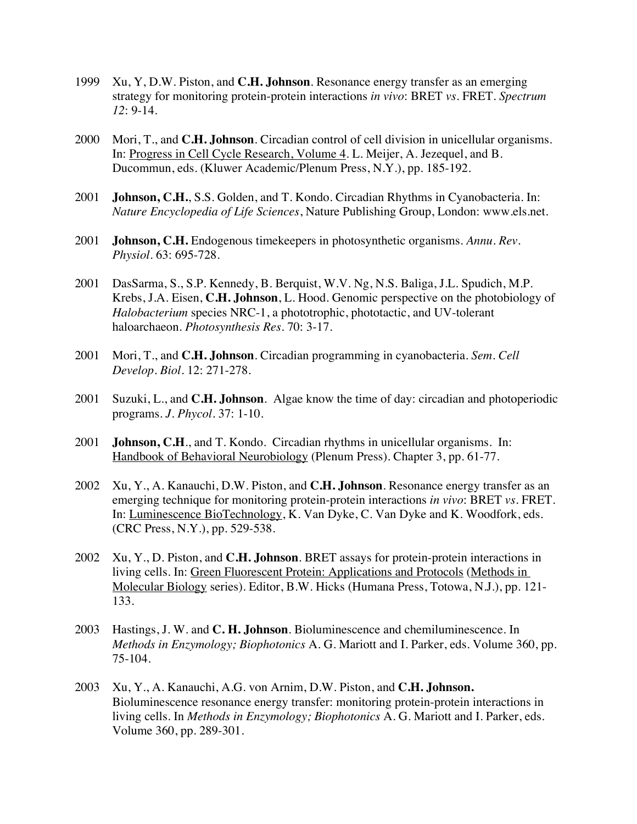- 1999 Xu, Y, D.W. Piston, and **C.H. Johnson**. Resonance energy transfer as an emerging strategy for monitoring protein-protein interactions *in vivo*: BRET *vs*. FRET. *Spectrum 12*: 9-14.
- 2000 Mori, T., and **C.H. Johnson**. Circadian control of cell division in unicellular organisms. In: Progress in Cell Cycle Research, Volume 4. L. Meijer, A. Jezequel, and B. Ducommun, eds. (Kluwer Academic/Plenum Press, N.Y.), pp. 185-192.
- 2001 **Johnson, C.H.**, S.S. Golden, and T. Kondo. Circadian Rhythms in Cyanobacteria. In: *Nature Encyclopedia of Life Sciences*, Nature Publishing Group, London: www.els.net.
- 2001 **Johnson, C.H.** Endogenous timekeepers in photosynthetic organisms. *Annu. Rev. Physiol*. 63: 695-728.
- 2001 DasSarma, S., S.P. Kennedy, B. Berquist, W.V. Ng, N.S. Baliga, J.L. Spudich, M.P. Krebs, J.A. Eisen, **C.H. Johnson**, L. Hood. Genomic perspective on the photobiology of *Halobacterium* species NRC-1, a phototrophic, phototactic, and UV-tolerant haloarchaeon. *Photosynthesis Res*. 70: 3-17.
- 2001 Mori, T., and **C.H. Johnson**. Circadian programming in cyanobacteria. *Sem. Cell Develop. Biol*. 12: 271-278.
- 2001 Suzuki, L., and **C.H. Johnson**. Algae know the time of day: circadian and photoperiodic programs. *J. Phycol.* 37: 1-10.
- 2001 **Johnson, C.H**., and T. Kondo. Circadian rhythms in unicellular organisms. In: Handbook of Behavioral Neurobiology (Plenum Press). Chapter 3, pp. 61-77.
- 2002 Xu, Y., A. Kanauchi, D.W. Piston, and **C.H. Johnson**. Resonance energy transfer as an emerging technique for monitoring protein-protein interactions *in vivo*: BRET *vs.* FRET. In: Luminescence BioTechnology, K. Van Dyke, C. Van Dyke and K. Woodfork, eds. (CRC Press, N.Y.), pp. 529-538.
- 2002 Xu, Y., D. Piston, and **C.H. Johnson**. BRET assays for protein-protein interactions in living cells. In: Green Fluorescent Protein: Applications and Protocols (Methods in Molecular Biology series). Editor, B.W. Hicks (Humana Press, Totowa, N.J.), pp. 121- 133.
- 2003 Hastings, J. W. and **C. H. Johnson**. Bioluminescence and chemiluminescence. In *Methods in Enzymology; Biophotonics* A. G. Mariott and I. Parker, eds. Volume 360, pp. 75-104.
- 2003 Xu, Y., A. Kanauchi, A.G. von Arnim, D.W. Piston, and **C.H. Johnson.** Bioluminescence resonance energy transfer: monitoring protein-protein interactions in living cells. In *Methods in Enzymology; Biophotonics* A. G. Mariott and I. Parker, eds. Volume 360, pp. 289-301.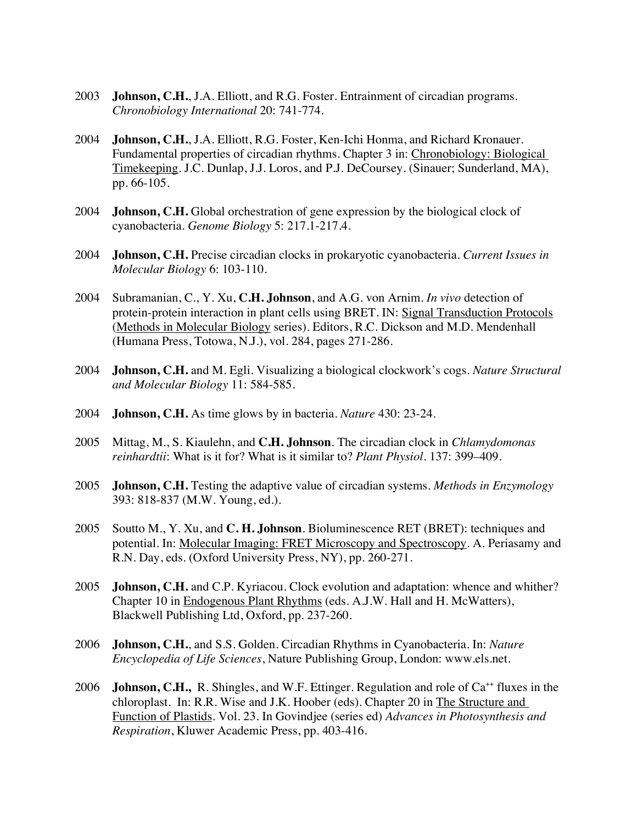- 2003 **Johnson, C.H.**, J.A. Elliott, and R.G. Foster. Entrainment of circadian programs. *Chronobiology International* 20: 741-774.
- 2004 **Johnson, C.H.**, J.A. Elliott, R.G. Foster, Ken-Ichi Honma, and Richard Kronauer. Fundamental properties of circadian rhythms. Chapter 3 in: Chronobiology: Biological Timekeeping. J.C. Dunlap, J.J. Loros, and P.J. DeCoursey. (Sinauer; Sunderland, MA), pp. 66-105.
- 2004 **Johnson, C.H.** Global orchestration of gene expression by the biological clock of cyanobacteria. *Genome Biology* 5: 217.1-217.4.
- 2004 **Johnson, C.H.** Precise circadian clocks in prokaryotic cyanobacteria. *Current Issues in Molecular Biology* 6: 103-110.
- 2004 Subramanian, C., Y. Xu, **C.H. Johnson**, and A.G. von Arnim. *In vivo* detection of protein-protein interaction in plant cells using BRET. IN: Signal Transduction Protocols (Methods in Molecular Biology series). Editors, R.C. Dickson and M.D. Mendenhall (Humana Press, Totowa, N.J.), vol. 284, pages 271-286.
- 2004 **Johnson, C.H.** and M. Egli. Visualizing a biological clockwork's cogs. *Nature Structural and Molecular Biology* 11: 584-585.
- 2004 **Johnson, C.H.** As time glows by in bacteria. *Nature* 430: 23-24.
- 2005 Mittag, M., S. Kiaulehn, and **C.H. Johnson**. The circadian clock in *Chlamydomonas reinhardtii*: What is it for? What is it similar to? *Plant Physiol*. 137: 399–409.
- 2005 **Johnson, C.H.** Testing the adaptive value of circadian systems. *Methods in Enzymology* 393: 818-837 (M.W. Young, ed.).
- 2005 Soutto M., Y. Xu, and **C. H. Johnson**. Bioluminescence RET (BRET): techniques and potential. In: Molecular Imaging: FRET Microscopy and Spectroscopy. A. Periasamy and R.N. Day, eds. (Oxford University Press, NY), pp. 260-271.
- 2005 **Johnson, C.H.** and C.P. Kyriacou. Clock evolution and adaptation: whence and whither? Chapter 10 in Endogenous Plant Rhythms (eds. A.J.W. Hall and H. McWatters), Blackwell Publishing Ltd, Oxford, pp. 237-260.
- 2006 **Johnson, C.H.**, and S.S. Golden. Circadian Rhythms in Cyanobacteria. In: *Nature Encyclopedia of Life Sciences*, Nature Publishing Group, London: www.els.net.
- 2006 **Johnson, C.H.,** R. Shingles, and W.F. Ettinger. Regulation and role of Ca<sup>++</sup> fluxes in the chloroplast. In: R.R. Wise and J.K. Hoober (eds). Chapter 20 in The Structure and Function of Plastids. Vol. 23. In Govindjee (series ed) *Advances in Photosynthesis and Respiration*, Kluwer Academic Press, pp. 403-416.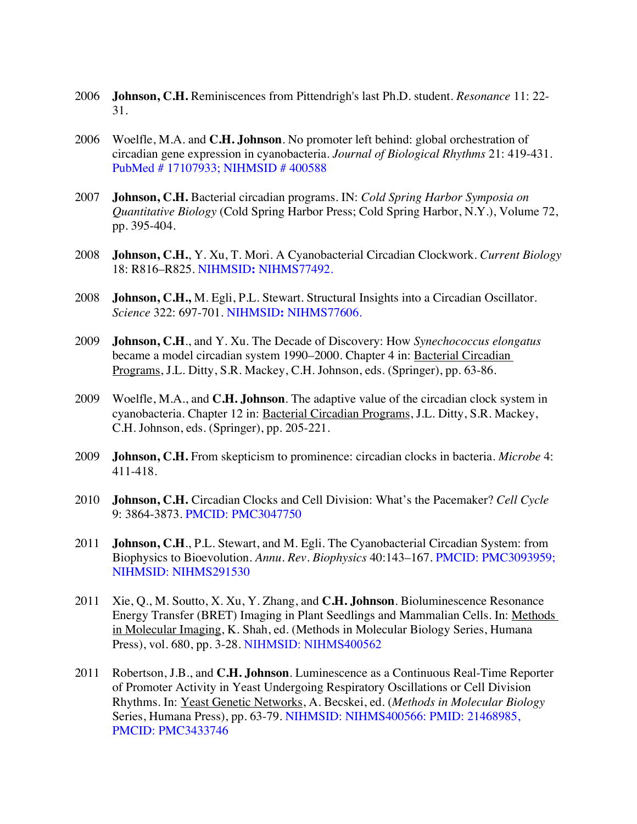- 2006 **Johnson, C.H.** Reminiscences from Pittendrigh's last Ph.D. student. *Resonance* 11: 22- 31.
- 2006 Woelfle, M.A. and **C.H. Johnson**. No promoter left behind: global orchestration of circadian gene expression in cyanobacteria. *Journal of Biological Rhythms* 21: 419-431. PubMed # 17107933; NIHMSID # 400588
- 2007 **Johnson, C.H.** Bacterial circadian programs. IN: *Cold Spring Harbor Symposia on Quantitative Biology* (Cold Spring Harbor Press; Cold Spring Harbor, N.Y.), Volume 72, pp. 395-404.
- 2008 **Johnson, C.H.**, Y. Xu, T. Mori. A Cyanobacterial Circadian Clockwork. *Current Biology* 18: R816–R825. NIHMSID**:** NIHMS77492.
- 2008 **Johnson, C.H.,** M. Egli, P.L. Stewart. Structural Insights into a Circadian Oscillator. *Science* 322: 697-701. NIHMSID**:** NIHMS77606.
- 2009 **Johnson, C.H**., and Y. Xu. The Decade of Discovery: How *Synechococcus elongatus*  became a model circadian system 1990–2000. Chapter 4 in: Bacterial Circadian Programs, J.L. Ditty, S.R. Mackey, C.H. Johnson, eds. (Springer), pp. 63-86.
- 2009 Woelfle, M.A., and **C.H. Johnson**. The adaptive value of the circadian clock system in cyanobacteria. Chapter 12 in: Bacterial Circadian Programs, J.L. Ditty, S.R. Mackey, C.H. Johnson, eds. (Springer), pp. 205-221.
- 2009 **Johnson, C.H.** From skepticism to prominence: circadian clocks in bacteria. *Microbe* 4: 411-418.
- 2010 **Johnson, C.H.** Circadian Clocks and Cell Division: What's the Pacemaker? *Cell Cycle* 9: 3864-3873. PMCID: PMC3047750
- 2011 **Johnson, C.H**., P.L. Stewart, and M. Egli. The Cyanobacterial Circadian System: from Biophysics to Bioevolution. *Annu. Rev. Biophysics* 40:143–167. PMCID: PMC3093959; NIHMSID: NIHMS291530
- 2011 Xie, Q., M. Soutto, X. Xu, Y. Zhang, and **C.H. Johnson**. Bioluminescence Resonance Energy Transfer (BRET) Imaging in Plant Seedlings and Mammalian Cells. In: Methods in Molecular Imaging, K. Shah, ed. (Methods in Molecular Biology Series, Humana Press), vol. 680, pp. 3-28. NIHMSID: NIHMS400562
- 2011 Robertson, J.B., and **C.H. Johnson**. Luminescence as a Continuous Real-Time Reporter of Promoter Activity in Yeast Undergoing Respiratory Oscillations or Cell Division Rhythms. In: Yeast Genetic Networks, A. Becskei, ed. (*Methods in Molecular Biology* Series, Humana Press), pp. 63-79. NIHMSID: NIHMS400566: PMID: 21468985, PMCID: PMC3433746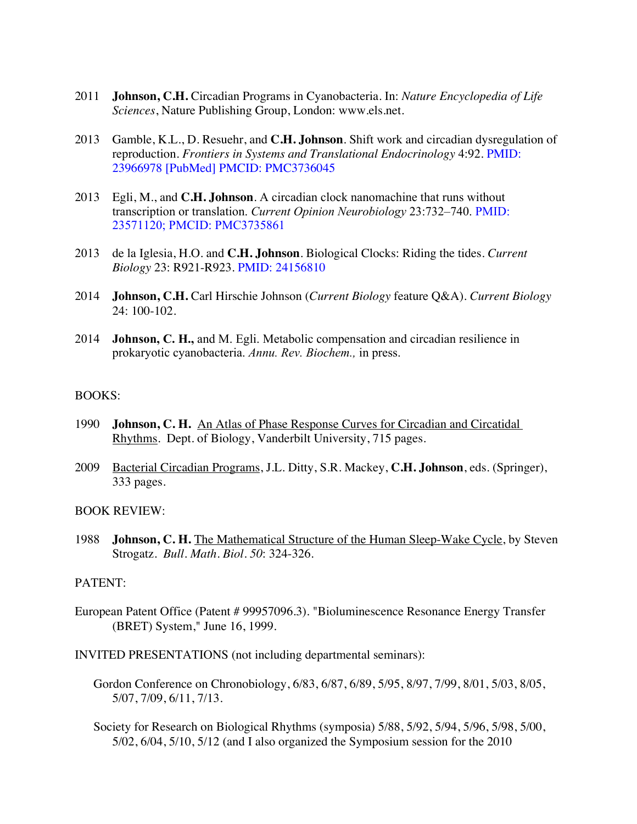- 2011 **Johnson, C.H.** Circadian Programs in Cyanobacteria. In: *Nature Encyclopedia of Life Sciences*, Nature Publishing Group, London: www.els.net.
- 2013 Gamble, K.L., D. Resuehr, and **C.H. Johnson**. Shift work and circadian dysregulation of reproduction. *Frontiers in Systems and Translational Endocrinology* 4:92. PMID: 23966978 [PubMed] PMCID: PMC3736045
- 2013 Egli, M., and **C.H. Johnson**. A circadian clock nanomachine that runs without transcription or translation. *Current Opinion Neurobiology* 23:732–740. PMID: 23571120; PMCID: PMC3735861
- 2013 de la Iglesia, H.O. and **C.H. Johnson**. Biological Clocks: Riding the tides. *Current Biology* 23: R921-R923. PMID: 24156810
- 2014 **Johnson, C.H.** Carl Hirschie Johnson (*Current Biology* feature Q&A). *Current Biology*  24: 100-102.
- 2014 **Johnson, C. H.,** and M. Egli. Metabolic compensation and circadian resilience in prokaryotic cyanobacteria. *Annu. Rev. Biochem.,* in press.

#### BOOKS:

- 1990 **Johnson, C. H.** An Atlas of Phase Response Curves for Circadian and Circatidal Rhythms. Dept. of Biology, Vanderbilt University, 715 pages.
- 2009 Bacterial Circadian Programs, J.L. Ditty, S.R. Mackey, **C.H. Johnson**, eds. (Springer), 333 pages.

#### BOOK REVIEW:

1988 **Johnson, C. H.** The Mathematical Structure of the Human Sleep-Wake Cycle, by Steven Strogatz. *Bull. Math. Biol. 50*: 324-326.

### PATENT:

- European Patent Office (Patent # 99957096.3). "Bioluminescence Resonance Energy Transfer (BRET) System," June 16, 1999.
- INVITED PRESENTATIONS (not including departmental seminars):
	- Gordon Conference on Chronobiology, 6/83, 6/87, 6/89, 5/95, 8/97, 7/99, 8/01, 5/03, 8/05, 5/07, 7/09, 6/11, 7/13.
	- Society for Research on Biological Rhythms (symposia) 5/88, 5/92, 5/94, 5/96, 5/98, 5/00, 5/02, 6/04, 5/10, 5/12 (and I also organized the Symposium session for the 2010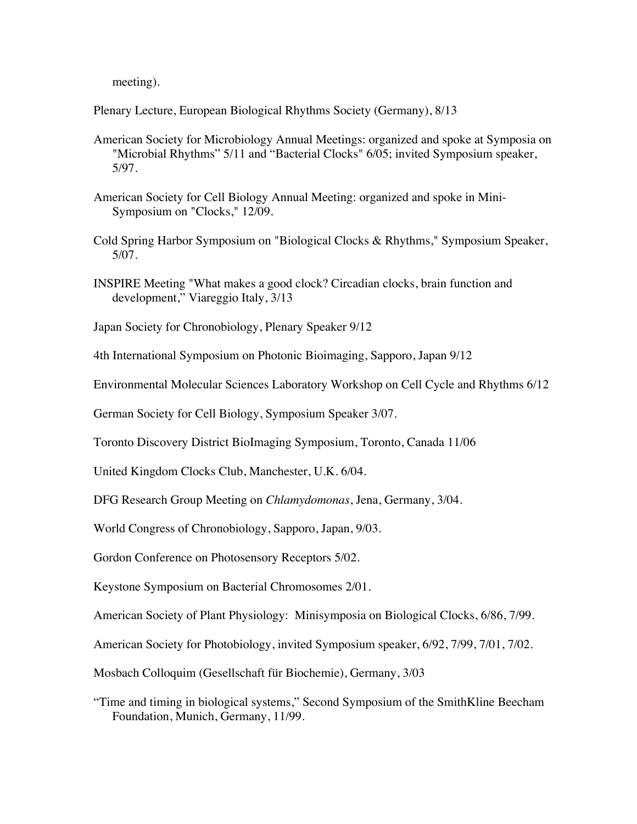meeting).

Plenary Lecture, European Biological Rhythms Society (Germany), 8/13

- American Society for Microbiology Annual Meetings: organized and spoke at Symposia on "Microbial Rhythms" 5/11 and "Bacterial Clocks" 6/05; invited Symposium speaker, 5/97.
- American Society for Cell Biology Annual Meeting: organized and spoke in Mini-Symposium on "Clocks," 12/09.
- Cold Spring Harbor Symposium on "Biological Clocks & Rhythms," Symposium Speaker, 5/07.
- INSPIRE Meeting "What makes a good clock? Circadian clocks, brain function and development," Viareggio Italy, 3/13

Japan Society for Chronobiology, Plenary Speaker 9/12

4th International Symposium on Photonic Bioimaging, Sapporo, Japan 9/12

Environmental Molecular Sciences Laboratory Workshop on Cell Cycle and Rhythms 6/12

German Society for Cell Biology, Symposium Speaker 3/07.

Toronto Discovery District BioImaging Symposium, Toronto, Canada 11/06

United Kingdom Clocks Club, Manchester, U.K. 6/04.

DFG Research Group Meeting on *Chlamydomonas*, Jena, Germany, 3/04.

World Congress of Chronobiology, Sapporo, Japan, 9/03.

Gordon Conference on Photosensory Receptors 5/02.

Keystone Symposium on Bacterial Chromosomes 2/01.

American Society of Plant Physiology: Minisymposia on Biological Clocks, 6/86, 7/99.

American Society for Photobiology, invited Symposium speaker, 6/92, 7/99, 7/01, 7/02.

Mosbach Colloquim (Gesellschaft für Biochemie), Germany, 3/03

"Time and timing in biological systems," Second Symposium of the SmithKline Beecham Foundation, Munich, Germany, 11/99.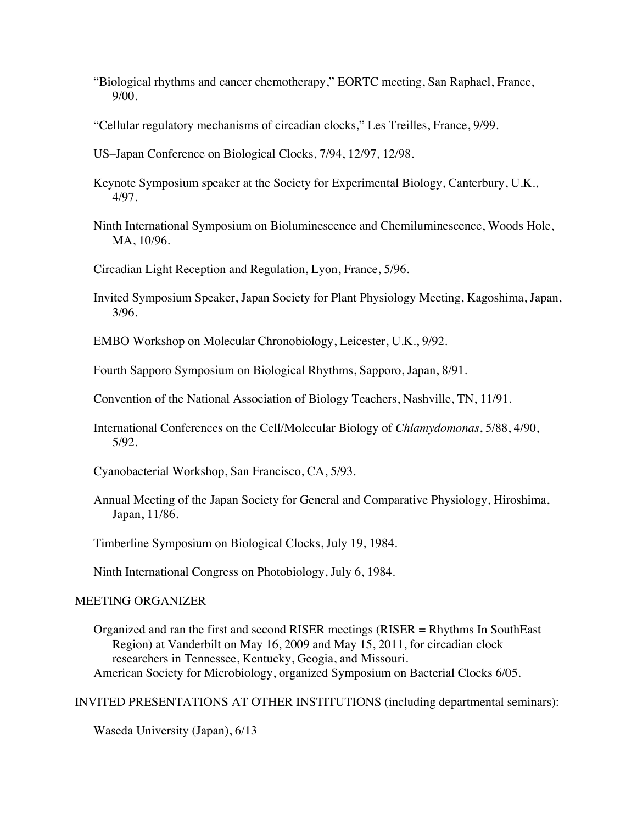- "Biological rhythms and cancer chemotherapy," EORTC meeting, San Raphael, France, 9/00.
- "Cellular regulatory mechanisms of circadian clocks," Les Treilles, France, 9/99.
- US–Japan Conference on Biological Clocks, 7/94, 12/97, 12/98.
- Keynote Symposium speaker at the Society for Experimental Biology, Canterbury, U.K., 4/97.
- Ninth International Symposium on Bioluminescence and Chemiluminescence, Woods Hole, MA, 10/96.
- Circadian Light Reception and Regulation, Lyon, France, 5/96.
- Invited Symposium Speaker, Japan Society for Plant Physiology Meeting, Kagoshima, Japan, 3/96.

EMBO Workshop on Molecular Chronobiology, Leicester, U.K., 9/92.

Fourth Sapporo Symposium on Biological Rhythms, Sapporo, Japan, 8/91.

Convention of the National Association of Biology Teachers, Nashville, TN, 11/91.

International Conferences on the Cell/Molecular Biology of *Chlamydomonas*, 5/88, 4/90, 5/92.

Cyanobacterial Workshop, San Francisco, CA, 5/93.

Annual Meeting of the Japan Society for General and Comparative Physiology, Hiroshima, Japan, 11/86.

Timberline Symposium on Biological Clocks, July 19, 1984.

Ninth International Congress on Photobiology, July 6, 1984.

# MEETING ORGANIZER

Organized and ran the first and second RISER meetings (RISER = Rhythms In SouthEast Region) at Vanderbilt on May 16, 2009 and May 15, 2011, for circadian clock researchers in Tennessee, Kentucky, Geogia, and Missouri. American Society for Microbiology, organized Symposium on Bacterial Clocks 6/05.

INVITED PRESENTATIONS AT OTHER INSTITUTIONS (including departmental seminars):

Waseda University (Japan), 6/13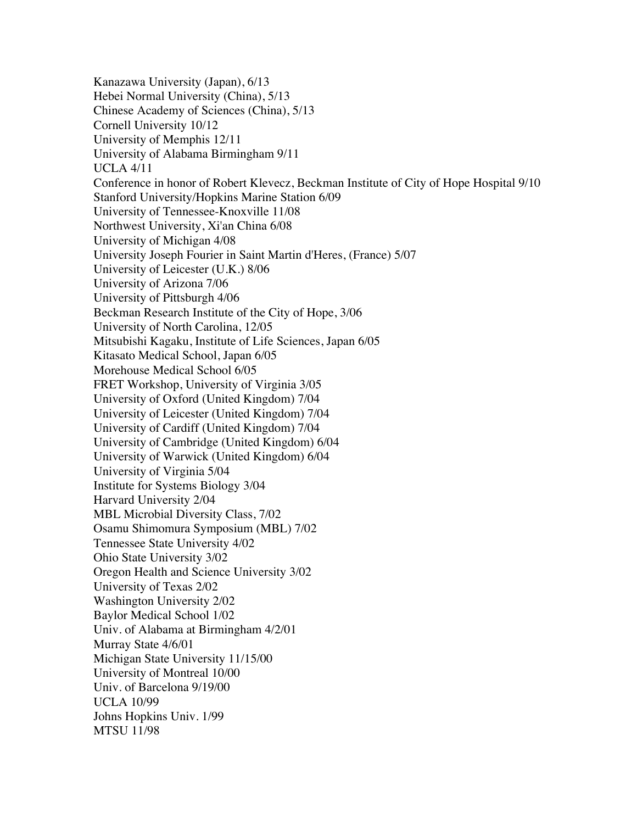Kanazawa University (Japan), 6/13 Hebei Normal University (China), 5/13 Chinese Academy of Sciences (China), 5/13 Cornell University 10/12 University of Memphis 12/11 University of Alabama Birmingham 9/11 UCLA 4/11 Conference in honor of Robert Klevecz, Beckman Institute of City of Hope Hospital 9/10 Stanford University/Hopkins Marine Station 6/09 University of Tennessee-Knoxville 11/08 Northwest University, Xi'an China 6/08 University of Michigan 4/08 University Joseph Fourier in Saint Martin d'Heres, (France) 5/07 University of Leicester (U.K.) 8/06 University of Arizona 7/06 University of Pittsburgh 4/06 Beckman Research Institute of the City of Hope, 3/06 University of North Carolina, 12/05 Mitsubishi Kagaku, Institute of Life Sciences, Japan 6/05 Kitasato Medical School, Japan 6/05 Morehouse Medical School 6/05 FRET Workshop, University of Virginia 3/05 University of Oxford (United Kingdom) 7/04 University of Leicester (United Kingdom) 7/04 University of Cardiff (United Kingdom) 7/04 University of Cambridge (United Kingdom) 6/04 University of Warwick (United Kingdom) 6/04 University of Virginia 5/04 Institute for Systems Biology 3/04 Harvard University 2/04 MBL Microbial Diversity Class, 7/02 Osamu Shimomura Symposium (MBL) 7/02 Tennessee State University 4/02 Ohio State University 3/02 Oregon Health and Science University 3/02 University of Texas 2/02 Washington University 2/02 Baylor Medical School 1/02 Univ. of Alabama at Birmingham 4/2/01 Murray State 4/6/01 Michigan State University 11/15/00 University of Montreal 10/00 Univ. of Barcelona 9/19/00 UCLA 10/99 Johns Hopkins Univ. 1/99 MTSU 11/98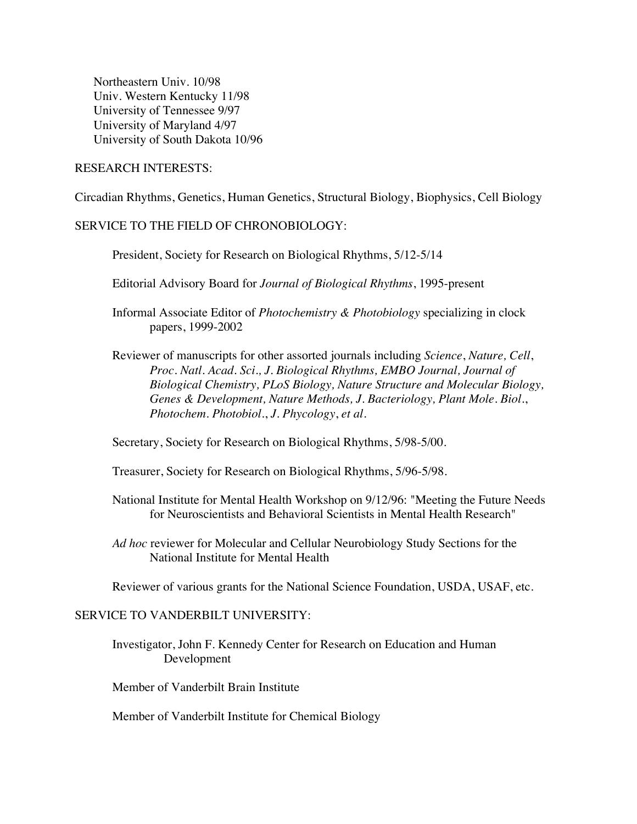Northeastern Univ. 10/98 Univ. Western Kentucky 11/98 University of Tennessee 9/97 University of Maryland 4/97 University of South Dakota 10/96

## RESEARCH INTERESTS:

Circadian Rhythms, Genetics, Human Genetics, Structural Biology, Biophysics, Cell Biology

# SERVICE TO THE FIELD OF CHRONOBIOLOGY:

President, Society for Research on Biological Rhythms, 5/12-5/14

Editorial Advisory Board for *Journal of Biological Rhythms*, 1995-present

Informal Associate Editor of *Photochemistry & Photobiology* specializing in clock papers, 1999-2002

Reviewer of manuscripts for other assorted journals including *Science*, *Nature, Cell*, *Proc. Natl. Acad. Sci., J. Biological Rhythms, EMBO Journal, Journal of Biological Chemistry, PLoS Biology, Nature Structure and Molecular Biology, Genes & Development, Nature Methods, J. Bacteriology, Plant Mole. Biol.*, *Photochem. Photobiol.*, *J. Phycology*, *et al*.

Secretary, Society for Research on Biological Rhythms, 5/98-5/00.

Treasurer, Society for Research on Biological Rhythms, 5/96-5/98.

- National Institute for Mental Health Workshop on 9/12/96: "Meeting the Future Needs for Neuroscientists and Behavioral Scientists in Mental Health Research"
- *Ad hoc* reviewer for Molecular and Cellular Neurobiology Study Sections for the National Institute for Mental Health

Reviewer of various grants for the National Science Foundation, USDA, USAF, etc.

# SERVICE TO VANDERBILT UNIVERSITY:

Investigator, John F. Kennedy Center for Research on Education and Human Development

Member of Vanderbilt Brain Institute

Member of Vanderbilt Institute for Chemical Biology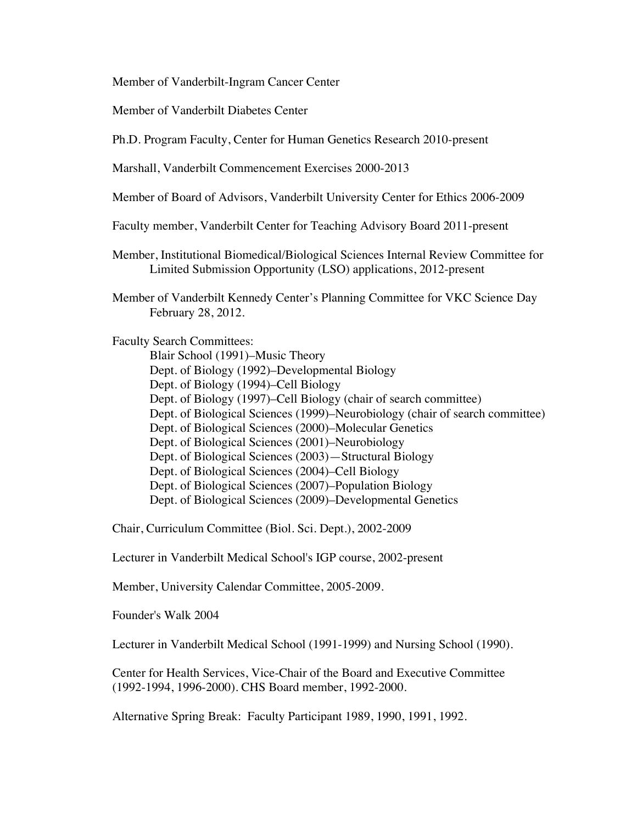Member of Vanderbilt-Ingram Cancer Center

Member of Vanderbilt Diabetes Center

Ph.D. Program Faculty, Center for Human Genetics Research 2010-present

Marshall, Vanderbilt Commencement Exercises 2000-2013

Member of Board of Advisors, Vanderbilt University Center for Ethics 2006-2009

Faculty member, Vanderbilt Center for Teaching Advisory Board 2011-present

Member, Institutional Biomedical/Biological Sciences Internal Review Committee for Limited Submission Opportunity (LSO) applications, 2012-present

Member of Vanderbilt Kennedy Center's Planning Committee for VKC Science Day February 28, 2012.

Faculty Search Committees:

Blair School (1991)–Music Theory Dept. of Biology (1992)–Developmental Biology Dept. of Biology (1994)–Cell Biology Dept. of Biology (1997)–Cell Biology (chair of search committee) Dept. of Biological Sciences (1999)–Neurobiology (chair of search committee) Dept. of Biological Sciences (2000)–Molecular Genetics Dept. of Biological Sciences (2001)–Neurobiology Dept. of Biological Sciences (2003)—Structural Biology Dept. of Biological Sciences (2004)–Cell Biology Dept. of Biological Sciences (2007)–Population Biology Dept. of Biological Sciences (2009)–Developmental Genetics

Chair, Curriculum Committee (Biol. Sci. Dept.), 2002-2009

Lecturer in Vanderbilt Medical School's IGP course, 2002-present

Member, University Calendar Committee, 2005-2009.

Founder's Walk 2004

Lecturer in Vanderbilt Medical School (1991-1999) and Nursing School (1990).

Center for Health Services, Vice-Chair of the Board and Executive Committee (1992-1994, 1996-2000). CHS Board member, 1992-2000.

Alternative Spring Break: Faculty Participant 1989, 1990, 1991, 1992.